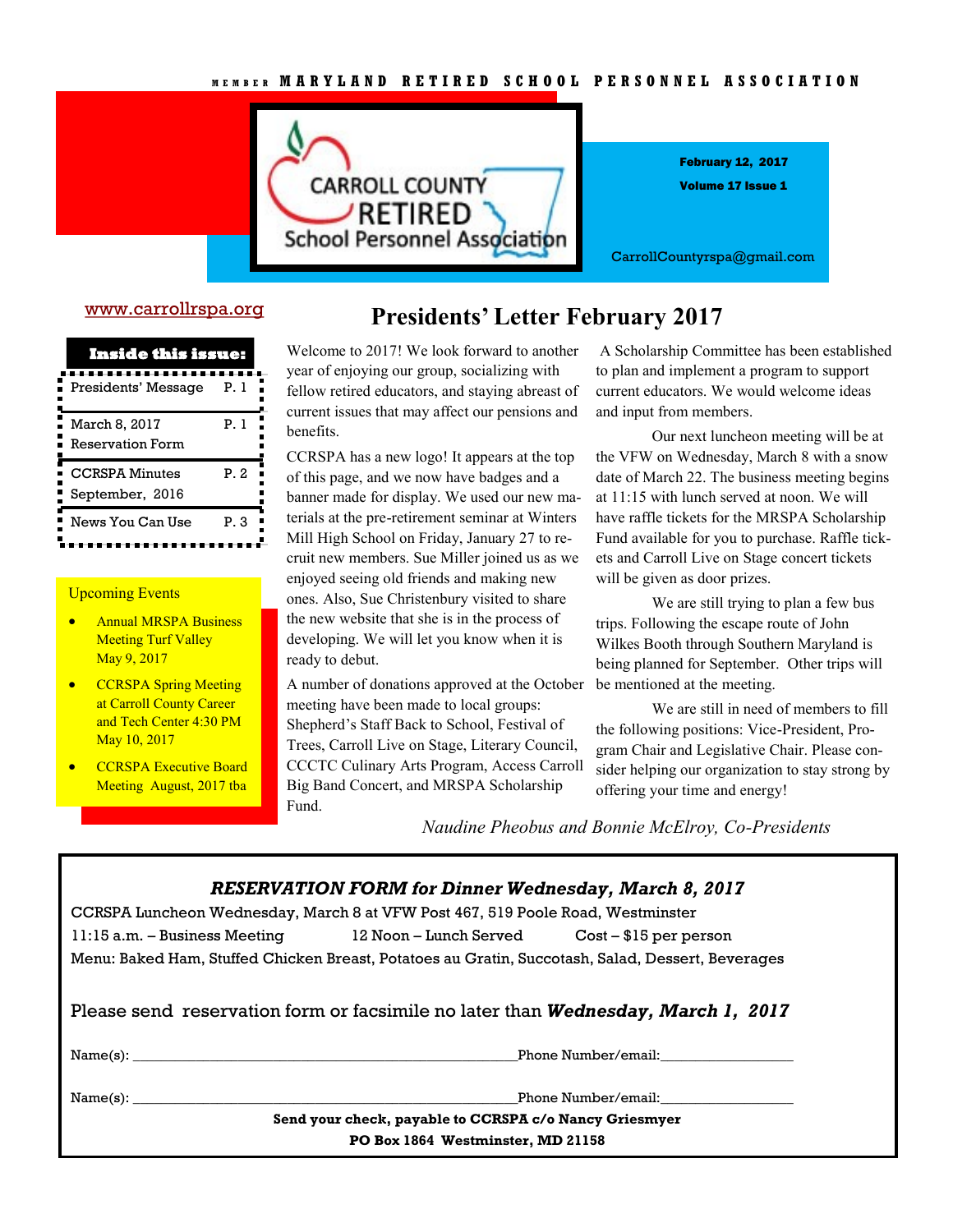

Volume 17 Issue 1 February 12, 2017

CarrollCountyrspa@gmail.com

### [www.carrollrspa.org](http://www.carrollrspa.org/)

| <b>Inside this issue:</b>                |      |  |
|------------------------------------------|------|--|
| Presidents' Message                      | P.I  |  |
| March 8, 2017<br><b>Reservation Form</b> | P.1  |  |
| <b>CCRSPA Minutes</b><br>September, 2016 | P.2  |  |
| News You Can Use                         | P. 3 |  |

### Upcoming Events

- **•** Annual MRSPA Business **Meeting Turf Valley** May 9, 2017
- **•** CCRSPA Spring Meeting at Carroll County Career and Tech Center 4:30 PM May 10, 2017
- **•** CCRSPA Executive Board Meeting August, 2017 tba

### **Presidents' Letter February 2017**

Welcome to 2017! We look forward to another year of enjoying our group, socializing with fellow retired educators, and staying abreast of current issues that may affect our pensions and benefits.

CCRSPA has a new logo! It appears at the top of this page, and we now have badges and a banner made for display. We used our new materials at the pre-retirement seminar at Winters Mill High School on Friday, January 27 to recruit new members. Sue Miller joined us as we enjoyed seeing old friends and making new ones. Also, Sue Christenbury visited to share the new website that she is in the process of developing. We will let you know when it is ready to debut.

A number of donations approved at the October meeting have been made to local groups: Shepherd's Staff Back to School, Festival of Trees, Carroll Live on Stage, Literary Council, CCCTC Culinary Arts Program, Access Carroll Big Band Concert, and MRSPA Scholarship Fund.

A Scholarship Committee has been established to plan and implement a program to support current educators. We would welcome ideas and input from members.

Our next luncheon meeting will be at the VFW on Wednesday, March 8 with a snow date of March 22. The business meeting begins at 11:15 with lunch served at noon. We will have raffle tickets for the MRSPA Scholarship Fund available for you to purchase. Raffle tickets and Carroll Live on Stage concert tickets will be given as door prizes.

We are still trying to plan a few bus trips. Following the escape route of John Wilkes Booth through Southern Maryland is being planned for September. Other trips will be mentioned at the meeting.

We are still in need of members to fill the following positions: Vice-President, Program Chair and Legislative Chair. Please consider helping our organization to stay strong by offering your time and energy!

*Naudine Pheobus and Bonnie McElroy, Co-Presidents*

|                                                                                                   | <b>RESERVATION FORM for Dinner Wednesday, March 8, 2017</b> |                     |
|---------------------------------------------------------------------------------------------------|-------------------------------------------------------------|---------------------|
| CCRSPA Luncheon Wednesday, March 8 at VFW Post 467, 519 Poole Road, Westminster                   |                                                             |                     |
| 11:15 a.m. – Business Meeting 12 Noon – Lunch Served Cost – \$15 per person                       |                                                             |                     |
| Menu: Baked Ham, Stuffed Chicken Breast, Potatoes au Gratin, Succotash, Salad, Dessert, Beverages |                                                             |                     |
| Please send reservation form or facsimile no later than Wednesday, March 1, 2017                  |                                                             |                     |
| Name(s):                                                                                          |                                                             | Phone Number/email: |
|                                                                                                   |                                                             | Phone Number/email: |
|                                                                                                   | Send your check, payable to CCRSPA c/o Nancy Griesmyer      |                     |
|                                                                                                   | <b>DO Dev. 1004 Westminster MD 91150</b>                    |                     |

**PO Box 1864 Westminster, MD 21158**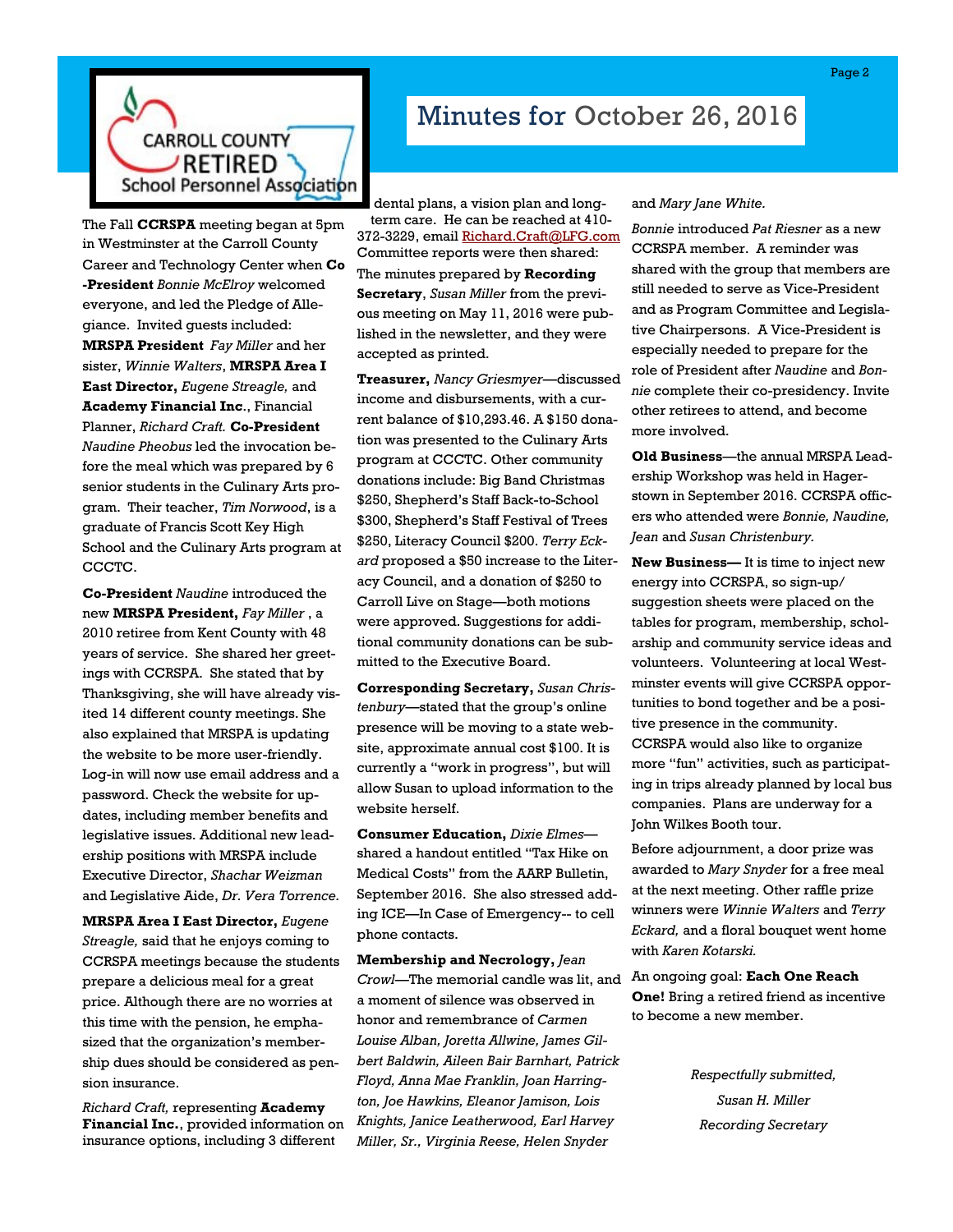

The Fall **CCRSPA** meeting began at 5pm in Westminster at the Carroll County Career and Technology Center when **Co -President** *Bonnie McElroy* welcomed everyone, and led the Pledge of Allegiance. Invited guests included: **MRSPA President** *Fay Miller* and her sister, *Winnie Walters*, **MRSPA Area I East Director,** *Eugene Streagle,* and **Academy Financial Inc**., Financial Planner, *Richard Craft.* **Co-President**  *Naudine Pheobus* led the invocation before the meal which was prepared by 6 senior students in the Culinary Arts program. Their teacher, *Tim Norwood*, is a graduate of Francis Scott Key High School and the Culinary Arts program at CCCTC.

**Co-President** *Naudine* introduced the new **MRSPA President,** *Fay Miller* , a 2010 retiree from Kent County with 48 years of service. She shared her greetings with CCRSPA. She stated that by Thanksgiving, she will have already visited 14 different county meetings. She also explained that MRSPA is updating the website to be more user-friendly. Log-in will now use email address and a password. Check the website for updates, including member benefits and legislative issues. Additional new leadership positions with MRSPA include Executive Director, *Shachar Weizman*  and Legislative Aide, *Dr. Vera Torrence.*

**MRSPA Area I East Director,** *Eugene Streagle,* said that he enjoys coming to CCRSPA meetings because the students prepare a delicious meal for a great price. Although there are no worries at this time with the pension, he emphasized that the organization's membership dues should be considered as pension insurance.

*Richard Craft,* representing **Academy Financial Inc.**, provided information on insurance options, including 3 different

# Minutes for October 26, 2016

dental plans, a vision plan and longterm care. He can be reached at 410- 372-3229, email [Richard.Craft@LFG.com](mailto:Richard.Craft@LFG.com) Committee reports were then shared: The minutes prepared by **Recording Secretary**, *Susan Miller* from the previous meeting on May 11, 2016 were published in the newsletter, and they were accepted as printed.

**Treasurer,** *Nancy Griesmyer*—discussed income and disbursements, with a current balance of \$10,293.46. A \$150 donation was presented to the Culinary Arts program at CCCTC. Other community donations include: Big Band Christmas \$250, Shepherd's Staff Back-to-School \$300, Shepherd's Staff Festival of Trees \$250, Literacy Council \$200. *Terry Eckard* proposed a \$50 increase to the Literacy Council, and a donation of \$250 to Carroll Live on Stage—both motions were approved. Suggestions for additional community donations can be submitted to the Executive Board.

**Corresponding Secretary,** *Susan Christenbury*—stated that the group's online presence will be moving to a state website, approximate annual cost \$100. It is currently a "work in progress", but will allow Susan to upload information to the website herself.

**Consumer Education,** *Dixie Elmes* shared a handout entitled "Tax Hike on Medical Costs" from the AARP Bulletin, September 2016. She also stressed adding ICE—In Case of Emergency-- to cell phone contacts.

**Membership and Necrology,** *Jean Crowl*—The memorial candle was lit, and a moment of silence was observed in honor and remembrance of *Carmen Louise Alban, Joretta Allwine, James Gilbert Baldwin, Aileen Bair Barnhart, Patrick Floyd, Anna Mae Franklin, Joan Harrington, Joe Hawkins, Eleanor Jamison, Lois Knights, Janice Leatherwood, Earl Harvey Miller, Sr., Virginia Reese, Helen Snyder* 

and *Mary Jane White.* 

*Bonnie* introduced *Pat Riesner* as a new CCRSPA member. A reminder was shared with the group that members are still needed to serve as Vice-President and as Program Committee and Legislative Chairpersons. A Vice-President is especially needed to prepare for the role of President after *Naudine* and *Bonnie* complete their co-presidency. Invite other retirees to attend, and become more involved.

**Old Business**—the annual MRSPA Leadership Workshop was held in Hagerstown in September 2016. CCRSPA officers who attended were *Bonnie, Naudine, Jean* and *Susan Christenbury.*

**New Business—** It is time to inject new energy into CCRSPA, so sign-up/ suggestion sheets were placed on the tables for program, membership, scholarship and community service ideas and volunteers. Volunteering at local Westminster events will give CCRSPA opportunities to bond together and be a positive presence in the community. CCRSPA would also like to organize more "fun" activities, such as participating in trips already planned by local bus companies. Plans are underway for a John Wilkes Booth tour.

Before adjournment, a door prize was awarded to *Mary Snyder* for a free meal at the next meeting. Other raffle prize winners were *Winnie Walters* and *Terry Eckard,* and a floral bouquet went home with *Karen Kotarski.*

An ongoing goal: **Each One Reach One!** Bring a retired friend as incentive to become a new member.

> *Respectfully submitted, Susan H. Miller Recording Secretary*